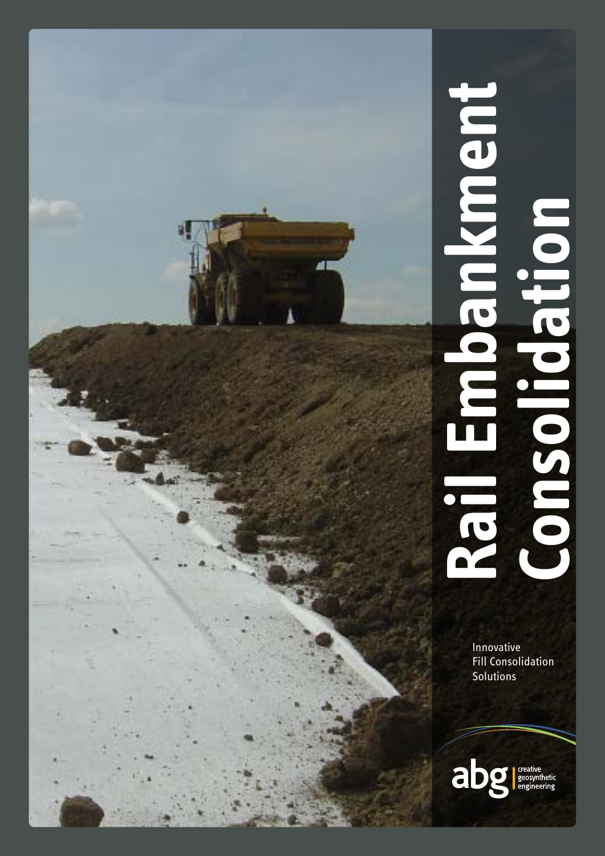# **Rail Embankment**  o a nikhigo **Consolidation** DOIPBIOSO T

Innovative Fill Consolidation **Solutions**